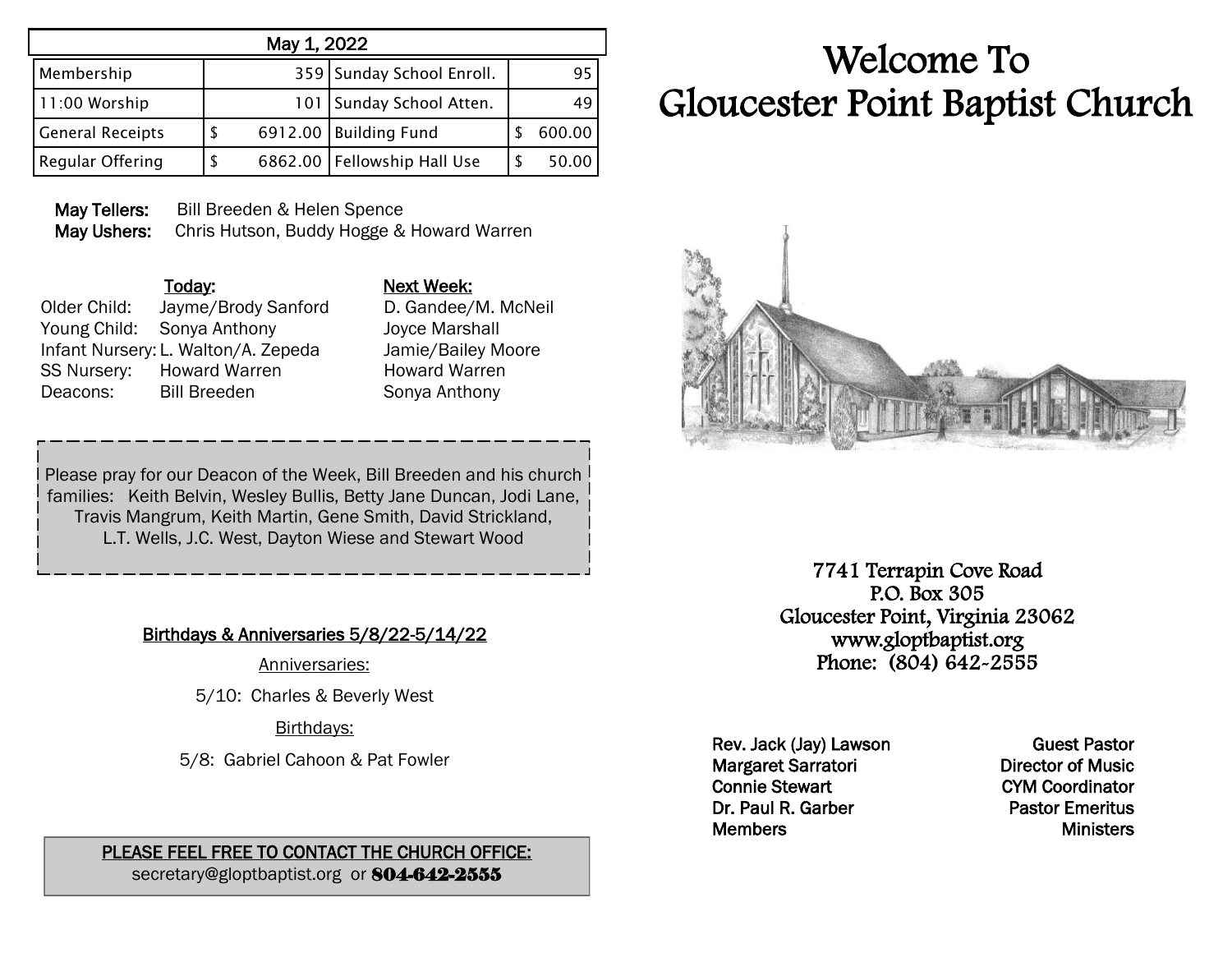| May 1, 2022             |   |  |                               |  |        |  |
|-------------------------|---|--|-------------------------------|--|--------|--|
| Membership              |   |  | 359 Sunday School Enroll.     |  | 95     |  |
| 11:00 Worship           |   |  | 101   Sunday School Atten.    |  | 49     |  |
| <b>General Receipts</b> | S |  | 6912.00   Building Fund       |  | 600.00 |  |
| Regular Offering        | S |  | 6862.00   Fellowship Hall Use |  | 50.00  |  |

May Tellers: Bill Breeden & Helen Spence May Ushers: Chris Hutson, Buddy Hogge & Howard Warren

## Today: Next Week: Older Child: Jayme/Brody Sanford D. Gandee/M. McNeil Young Child: Sonya Anthony Joyce Marshall Infant Nursery: L. Walton/A. Zepeda Jamie/Bailey Moore SS Nursery: Howard Warren Howard Warren Deacons: Bill Breeden Sonya Anthony

Please pray for our Deacon of the Week, Bill Breeden and his church families: Keith Belvin, Wesley Bullis, Betty Jane Duncan, Jodi Lane, Travis Mangrum, Keith Martin, Gene Smith, David Strickland, L.T. Wells, J.C. West, Dayton Wiese and Stewart Wood

Birthdays & Anniversaries 5/8/22-5/14/22

Anniversaries:

5/10: Charles & Beverly West

Birthdays:

5/8: Gabriel Cahoon & Pat Fowler

PLEASE FEEL FREE TO CONTACT THE CHURCH OFFICE: secretary@gloptbaptist.org or 804-642-2555

## Welcome To Gloucester Point Baptist Church



7741 Terrapin Cove Road P.O. Box 305 Gloucester Point, Virginia 23062 www.gloptbaptist.org Phone: (804) 642-2555

Rev. Jack (Jay) Lawson Margaret Sarratori Connie Stewart Dr. Paul R. Garber **Members** 

Guest Pastor Director of Music CYM Coordinator Pastor Emeritus **Ministers**